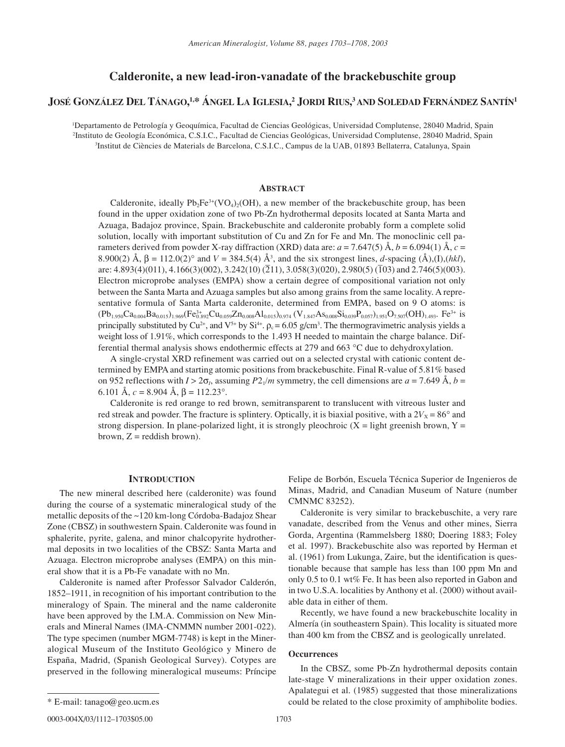# **Calderonite, a new lead-iron-vanadate of the brackebuschite group**

# **JOSÉ GONZÁLEZ DEL TÁNAGO, 1,\* ÁNGEL LA IGLESIA, 2 JORDI RIUS, 3 AND SOLEDAD FERNÁNDEZ SANTÍN1**

1 Departamento de Petrología y Geoquímica, Facultad de Ciencias Geológicas, Universidad Complutense, 28040 Madrid, Spain 2 Instituto de Geología Económica, C.S.I.C., Facultad de Ciencias Geológicas, Universidad Complutense, 28040 Madrid, Spain 3 Institut de Ciències de Materials de Barcelona, C.S.I.C., Campus de la UAB, 01893 Bellaterra, Catalunya, Spain

## **ABSTRACT**

Calderonite, ideally  $Pb_2Fe^{3+}(VO_4)_2(OH)$ , a new member of the brackebuschite group, has been found in the upper oxidation zone of two Pb-Zn hydrothermal deposits located at Santa Marta and Azuaga, Badajoz province, Spain. Brackebuschite and calderonite probably form a complete solid solution, locally with important substitution of Cu and Zn for Fe and Mn. The monoclinic cell parameters derived from powder X-ray diffraction (XRD) data are:  $a = 7.647(5)$  Å,  $b = 6.094(1)$  Å,  $c =$ 8.900(2)  $\AA$ ,  $\beta = 112.0(2)^\circ$  and  $V = 384.5(4) \,\AA^3$ , and the six strongest lines, *d*-spacing ( $\AA$ ),(I),(*hkl*), are: 4.893(4)(011), 4.166(3)(002), 3.242(10) (211), 3.058(3)(020), 2.980(5) (103) and 2.746(5)(003). Electron microprobe analyses (EMPA) show a certain degree of compositional variation not only between the Santa Marta and Azuaga samples but also among grains from the same locality. A representative formula of Santa Marta calderonite, determined from EMPA, based on 9 O atoms: is  $(Pb_{1.950}Ca_{0.004}Ba_{0.015})_{1.969}(Fe_{0.892}^{3+}Cu_{0.059}Zn_{0.008}Al_{0.015})_{0.974}(V_{1.847}As_{0.008}Si_{0.039}P_{0.057})_{1.951}O_{7.507}(OH)_{1.493}$ .  $Fe^{3+}$  is principally substituted by Cu<sup>2+</sup>, and V<sup>5+</sup> by Si<sup>4+</sup>.  $\rho_c = 6.05$  g/cm<sup>3</sup>. The thermogravimetric analysis yields a weight loss of 1.91%, which corresponds to the 1.493 H needed to maintain the charge balance. Differential thermal analysis shows endothermic effects at 279 and 663 ∞C due to dehydroxylation.

A single-crystal XRD refinement was carried out on a selected crystal with cationic content determined by EMPA and starting atomic positions from brackebuschite. Final R-value of 5.81% based on 952 reflections with  $I > 2\sigma_l$ , assuming  $P2_1/m$  symmetry, the cell dimensions are  $a = 7.649 \text{ Å}$ ,  $b =$ 6.101 Å,  $c = 8.904$  Å,  $\beta = 112.23^\circ$ .

Calderonite is red orange to red brown, semitransparent to translucent with vitreous luster and red streak and powder. The fracture is splintery. Optically, it is biaxial positive, with a  $2V_x = 86^\circ$  and strong dispersion. In plane-polarized light, it is strongly pleochroic  $(X =$  light greenish brown,  $Y =$ brown,  $Z =$  reddish brown).

## **INTRODUCTION**

The new mineral described here (calderonite) was found during the course of a systematic mineralogical study of the metallic deposits of the ~120 km-long Córdoba-Badajoz Shear Zone (CBSZ) in southwestern Spain. Calderonite was found in sphalerite, pyrite, galena, and minor chalcopyrite hydrothermal deposits in two localities of the CBSZ: Santa Marta and Azuaga. Electron microprobe analyses (EMPA) on this mineral show that it is a Pb-Fe vanadate with no Mn.

Calderonite is named after Professor Salvador Calderón, 1852–1911, in recognition of his important contribution to the mineralogy of Spain. The mineral and the name calderonite have been approved by the I.M.A. Commission on New Minerals and Mineral Names (IMA-CNMMN number 2001-022). The type specimen (number MGM-7748) is kept in the Mineralogical Museum of the Instituto Geológico y Minero de España, Madrid, (Spanish Geological Survey). Cotypes are preserved in the following mineralogical museums: Príncipe Felipe de Borbón, Escuela Técnica Superior de Ingenieros de Minas, Madrid, and Canadian Museum of Nature (number CMNMC 83252).

Calderonite is very similar to brackebuschite, a very rare vanadate, described from the Venus and other mines, Sierra Gorda, Argentina (Rammelsberg 1880; Doering 1883; Foley et al. 1997). Brackebuschite also was reported by Herman et al. (1961) from Lukunga, Zaire, but the identification is questionable because that sample has less than 100 ppm Mn and only 0.5 to 0.1 wt% Fe. It has been also reported in Gabon and in two U.S.A. localities by Anthony et al. (2000) without available data in either of them.

Recently, we have found a new brackebuschite locality in Almería (in southeastern Spain). This locality is situated more than 400 km from the CBSZ and is geologically unrelated.

### **Occurrences**

In the CBSZ, some Pb-Zn hydrothermal deposits contain late-stage V mineralizations in their upper oxidation zones. Apalategui et al. (1985) suggested that those mineralizations could be related to the close proximity of amphibolite bodies.

0003-004X/03/1112-1703\$05.00 1703

<sup>\*</sup> E-mail: tanago@geo.ucm.es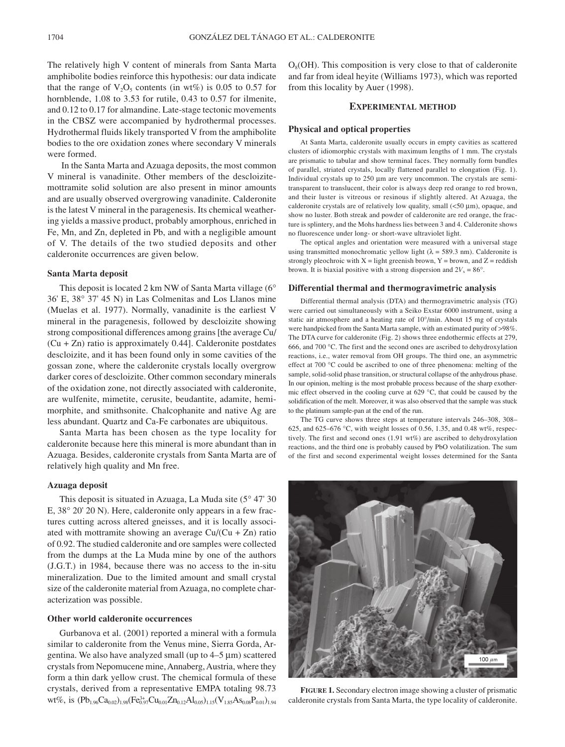The relatively high V content of minerals from Santa Marta amphibolite bodies reinforce this hypothesis: our data indicate that the range of  $V_2O_5$  contents (in wt%) is 0.05 to 0.57 for hornblende, 1.08 to 3.53 for rutile, 0.43 to 0.57 for ilmenite, and 0.12 to 0.17 for almandine. Late-stage tectonic movements in the CBSZ were accompanied by hydrothermal processes. Hydrothermal fluids likely transported V from the amphibolite bodies to the ore oxidation zones where secondary V minerals were formed.

In the Santa Marta and Azuaga deposits, the most common V mineral is vanadinite. Other members of the descloizitemottramite solid solution are also present in minor amounts and are usually observed overgrowing vanadinite. Calderonite is the latest V mineral in the paragenesis. Its chemical weathering yields a massive product, probably amorphous, enriched in Fe, Mn, and Zn, depleted in Pb, and with a negligible amount of V. The details of the two studied deposits and other calderonite occurrences are given below.

#### **Santa Marta deposit**

This deposit is located 2 km NW of Santa Marta village (6∞ 36' E, 38∞ 37' 45 N) in Las Colmenitas and Los Llanos mine (Muelas et al. 1977). Normally, vanadinite is the earliest V mineral in the paragenesis, followed by descloizite showing strong compositional differences among grains [the average Cu/  $(Cu + Zn)$  ratio is approximately 0.44]. Calderonite postdates descloizite, and it has been found only in some cavities of the gossan zone, where the calderonite crystals locally overgrow darker cores of descloizite. Other common secondary minerals of the oxidation zone, not directly associated with calderonite, are wulfenite, mimetite, cerusite, beudantite, adamite, hemimorphite, and smithsonite. Chalcophanite and native Ag are less abundant. Quartz and Ca-Fe carbonates are ubiquitous.

Santa Marta has been chosen as the type locality for calderonite because here this mineral is more abundant than in Azuaga. Besides, calderonite crystals from Santa Marta are of relatively high quality and Mn free.

#### **Azuaga deposit**

This deposit is situated in Azuaga, La Muda site (5∞ 47' 30 E, 38∞ 20' 20 N). Here, calderonite only appears in a few fractures cutting across altered gneisses, and it is locally associated with mottramite showing an average  $Cu/(Cu + Zn)$  ratio of 0.92. The studied calderonite and ore samples were collected from the dumps at the La Muda mine by one of the authors (J.G.T.) in 1984, because there was no access to the in-situ mineralization. Due to the limited amount and small crystal size of the calderonite material from Azuaga, no complete characterization was possible.

#### **Other world calderonite occurrences**

Gurbanova et al. (2001) reported a mineral with a formula similar to calderonite from the Venus mine, Sierra Gorda, Argentina. We also have analyzed small (up to  $4-5 \mu m$ ) scattered crystals from Nepomucene mine, Annaberg, Austria, where they form a thin dark yellow crust. The chemical formula of these crystals, derived from a representative EMPA totaling 98.73 wt%, is  $(Pb_{1.96}Ca_{0.02})_{1.98}(Fe_{0.97}^{3+}Cu_{0.01}Zn_{0.12}Al_{0.05})_{1.15}(V_{1.85}As_{0.08}P_{0.01})_{1.94}$ 

 $O_8(OH)$ . This composition is very close to that of calderonite and far from ideal heyite (Williams 1973), which was reported from this locality by Auer (1998).

#### **EXPERIMENTAL METHOD**

#### **Physical and optical properties**

At Santa Marta, calderonite usually occurs in empty cavities as scattered clusters of idiomorphic crystals with maximum lengths of 1 mm. The crystals are prismatic to tabular and show terminal faces. They normally form bundles of parallel, striated crystals, locally flattened parallel to elongation (Fig. 1). Individual crystals up to  $250 \mu m$  are very uncommon. The crystals are semitransparent to translucent, their color is always deep red orange to red brown, and their luster is vitreous or resinous if slightly altered. At Azuaga, the calderonite crystals are of relatively low quality, small  $(<50 \mu m)$ , opaque, and show no luster. Both streak and powder of calderonite are red orange, the fracture is splintery, and the Mohs hardness lies between 3 and 4. Calderonite shows no fluorescence under long- or short-wave ultraviolet light.

The optical angles and orientation were measured with a universal stage using transmitted monochromatic yellow light ( $\lambda = 589.3$  nm). Calderonite is strongly pleochroic with  $X =$  light greenish brown,  $Y =$  brown, and  $Z =$  reddish brown. It is biaxial positive with a strong dispersion and  $2V_x = 86^\circ$ .

#### **Differential thermal and thermogravimetric analysis**

Differential thermal analysis (DTA) and thermogravimetric analysis (TG) were carried out simultaneously with a Seiko Exstar 6000 instrument, using a static air atmosphere and a heating rate of 10∞/min. About 15 mg of crystals were handpicked from the Santa Marta sample, with an estimated purity of >98%. The DTA curve for calderonite (Fig. 2) shows three endothermic effects at 279, 666, and 700 ∞C. The first and the second ones are ascribed to dehydroxylation reactions, i.e., water removal from OH groups. The third one, an asymmetric effect at 700 ∞C could be ascribed to one of three phenomena: melting of the sample, solid-solid phase transition, or structural collapse of the anhydrous phase. In our opinion, melting is the most probable process because of the sharp exothermic effect observed in the cooling curve at 629 ∞C, that could be caused by the solidification of the melt. Moreover, it was also observed that the sample was stuck to the platinum sample-pan at the end of the run.

The TG curve shows three steps at temperature intervals 246–308, 308– 625, and 625–676 °C, with weight losses of 0.56, 1.35, and 0.48 wt%, respectively. The first and second ones (1.91 wt%) are ascribed to dehydroxylation reactions, and the third one is probably caused by PbO volatilization. The sum of the first and second experimental weight losses determined for the Santa



**FIGURE 1.** Secondary electron image showing a cluster of prismatic calderonite crystals from Santa Marta, the type locality of calderonite.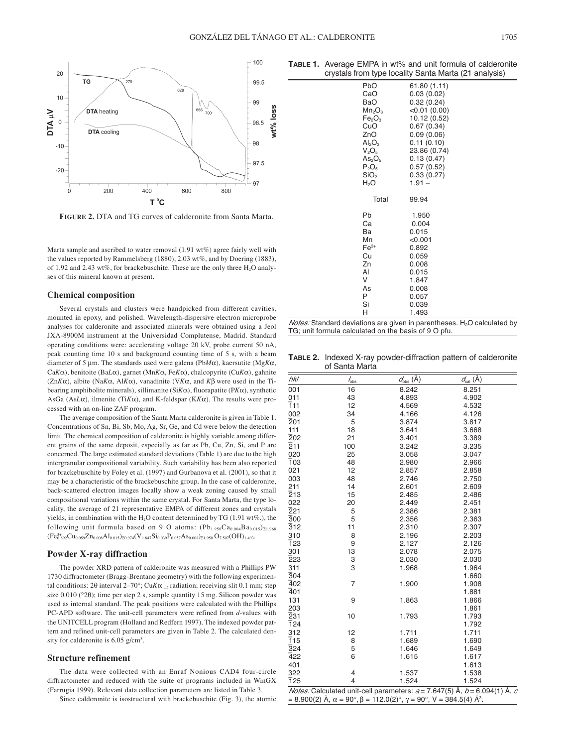

**FIGURE 2.** DTA and TG curves of calderonite from Santa Marta.

Marta sample and ascribed to water removal (1.91 wt%) agree fairly well with the values reported by Rammelsberg (1880), 2.03 wt%, and by Doering (1883), of 1.92 and 2.43 wt%, for brackebuschite. These are the only three  $H_2O$  analyses of this mineral known at present.

#### **Chemical composition**

Several crystals and clusters were handpicked from different cavities, mounted in epoxy, and polished. Wavelength-dispersive electron microprobe analyses for calderonite and associated minerals were obtained using a Jeol JXA-8900M instrument at the Universidad Complutense, Madrid. Standard operating conditions were: accelerating voltage 20 kV, probe current 50 nA, peak counting time 10 s and background counting time of 5 s, with a beam diameter of 5  $\mu$ m. The standards used were galena (Pb*M* $\alpha$ ), kaersutite (Mg*K* $\alpha$ , Ca*K*a), benitoite (Ba*L*a), garnet (Mn*K*a, Fe*K*a), chalcopyrite (Cu*K*a), gahnite  $(ZnK\alpha)$ , albite (Na $K\alpha$ , Al $K\alpha$ ), vanadinite (V $K\alpha$ , and  $K\beta$  were used in the Tibearing amphibolite minerals), sillimanite (Si*K*a), fluorapatite (P*K*a), synthetic AsGa (As $L\alpha$ ), ilmenite (Ti $K\alpha$ ), and K-feldspar (K $K\alpha$ ). The results were processed with an on-line ZAF program.

The average composition of the Santa Marta calderonite is given in Table 1. Concentrations of Sn, Bi, Sb, Mo, Ag, Sr, Ge, and Cd were below the detection limit. The chemical composition of calderonite is highly variable among different grains of the same deposit, especially as far as Pb, Cu, Zn, Si, and P are concerned. The large estimated standard deviations (Table 1) are due to the high intergranular compositional variability. Such variability has been also reported for brackebuschite by Foley et al. (1997) and Gurbanova et al. (2001), so that it may be a characteristic of the brackebuschite group. In the case of calderonite, back-scattered electron images locally show a weak zoning caused by small compositional variations within the same crystal. For Santa Marta, the type locality, the average of 21 representative EMPA of different zones and crystals yields, in combination with the H<sub>2</sub>O content determined by TG (1.91 wt%.), the following unit formula based on 9 O atoms:  $(Pb_{1.950}Ca_{0.004}Ba_{0.015})_{\Sigma1.968}$  $(Fe_{0.892}^{3+}Cu_{0.059}Zn_{0.008}Al_{0.015})_{\Sigma 0.974}(V_{1.847}Si_{0.039}P_{0.057}As_{0.008})_{\Sigma 1.950}O_{7.507}(OH)_{1.493}.$ 

#### **Powder X-ray diffraction**

The powder XRD pattern of calderonite was measured with a Phillips PW 1730 diffractometer (Bragg-Brentano geometry) with the following experimental conditions: 2 $\theta$  interval 2–70°; Cu*K* $\alpha_{1-2}$  radiation; receiving slit 0.1 mm; step size  $0.010$  ( $°2\theta$ ); time per step 2 s, sample quantity 15 mg. Silicon powder was used as internal standard. The peak positions were calculated with the Phillips PC-APD software. The unit-cell parameters were refined from *d*-values with the UNITCELL program (Holland and Redfern 1997). The indexed powder pattern and refined unit-cell parameters are given in Table 2. The calculated density for calderonite is 6.05 g/cm<sup>3</sup>.

#### **Structure refinement**

The data were collected with an Enraf Nonious CAD4 four-circle diffractometer and reduced with the suite of programs included in WinGX (Farrugia 1999). Relevant data collection parameters are listed in Table 3.

Since calderonite is isostructural with brackebuschite (Fig. 3), the atomic

**TABLE 1.** Average EMPA in wt% and unit formula of calderonite crystals from type locality Santa Marta (21 analysis)

|                                | $\alpha$ is a morning to reduce the manual $\alpha$ in a manual set |
|--------------------------------|---------------------------------------------------------------------|
| PbO                            | 61.80 (1.11)                                                        |
| CaO                            | 0.03(0.02)                                                          |
| BaO                            | 0.32(0.24)                                                          |
| Mn <sub>2</sub> O <sub>3</sub> | <0.01(0.00)                                                         |
| Fe <sub>2</sub> O <sub>3</sub> | 10.12 (0.52)                                                        |
| CuO                            | 0.67(0.34)                                                          |
| ZnO                            | 0.09(0.06)                                                          |
| Al <sub>2</sub> O <sub>3</sub> | 0.11(0.10)                                                          |
| $V_2O_5$                       | 23.86 (0.74)                                                        |
| As <sub>2</sub> O <sub>5</sub> | 0.13(0.47)                                                          |
| $P_2O_5$                       | 0.57(0.52)                                                          |
| SiO <sub>2</sub>               | 0.33(0.27)                                                          |
| H <sub>2</sub> O               | $1.91 -$                                                            |
|                                |                                                                     |
| Total                          | 99.94                                                               |
| Pb                             | 1.950                                                               |
| Ca                             | 0.004                                                               |
| Ba                             | 0.015                                                               |
| Mn                             | < 0.001                                                             |
| $Fe3+$                         | 0.892                                                               |
| Cu                             | 0.059                                                               |
| Zn                             | 0.008                                                               |
| AI                             | 0.015                                                               |
| V                              | 1.847                                                               |
| As                             | 0.008                                                               |
| P                              | 0.057                                                               |
| Si                             | 0.039                                                               |
| н                              | 1.493                                                               |
|                                |                                                                     |

*Notes:* Standard deviations are given in parentheses.  $H_2O$  calculated by TG; unit formula calculated on the basis of 9 O pfu.

**TABLE 2.** Indexed X-ray powder-diffraction pattern of calderonite of Santa Marta

| hkl              | $\frac{1}{6}$  | $\underline{\mathit{d}}_{\text{obs}}(\text{\AA})$              | $d_{\text{cal}}(\check{A})$       |
|------------------|----------------|----------------------------------------------------------------|-----------------------------------|
| 001              | 16             | 8.242                                                          | 8.251                             |
| 011              | 43             | 4.893                                                          | 4.902                             |
| $\overline{1}11$ | 12             | 4.569                                                          | 4.532                             |
| 002              | 34             | 4.166                                                          | 4.126                             |
| $\overline{2}01$ | 5              | 3.874                                                          | 3.817                             |
| 111              | 18             | 3.641                                                          | 3.668                             |
| 202              | 21             | 3.401                                                          | 3.389                             |
| $\overline{2}11$ | 100            | 3.242                                                          | 3.235                             |
| 020              | 25             | 3.058                                                          | 3.047                             |
| $\overline{1}03$ | 48             | 2.980                                                          | 2.966                             |
| 021              | 12             | 2.857                                                          | 2.858                             |
| 003              | 48             | 2.746                                                          | 2.750                             |
| 211              | 14             | 2.601                                                          | 2.609                             |
| $\overline{2}13$ | 15             | 2.485                                                          | 2.486                             |
| 022              | 20             | 2.449                                                          | 2.451                             |
| $\overline{2}21$ | 5              | 2.386                                                          | 2.381                             |
| $\overline{3}00$ | 5              | 2.356                                                          | 2.363                             |
| $\overline{3}12$ | 11             | 2.310                                                          | 2.307                             |
| 310              | 8              | 2.196                                                          | 2.203                             |
| <b>123</b>       | 9              | 2.127                                                          | 2.126                             |
| 301              | 13             | 2.078                                                          | 2.075                             |
| 223              | 3              | 2.030                                                          | 2.030                             |
| 311              | 3              | 1.968                                                          | 1.964                             |
| $\overline{3}04$ |                |                                                                | 1.660                             |
| $\overline{4}02$ | $\overline{7}$ | 1.900                                                          | 1.908                             |
| 401              |                |                                                                | 1.881                             |
| 131              | 9              | 1.863                                                          | 1.866                             |
| 203              |                |                                                                | 1.861                             |
| 231              | 10             | 1.793                                                          | 1.793                             |
| 124              |                |                                                                | 1.792                             |
| 312              | 12             | 1.711                                                          | 1.711                             |
| $\overline{1}15$ | 8              | 1.689                                                          | 1.690                             |
| $\overline{3}24$ | 5              | 1.646                                                          | 1.649                             |
| 422              | 6              | 1.615                                                          | 1.617                             |
| 401              |                |                                                                | 1.613                             |
| 322              | $\overline{4}$ | 1.537                                                          | 1.538                             |
| <b>125</b>       | $\overline{4}$ | 1.524                                                          | 1.524                             |
|                  |                | <i>Notes:</i> Calculated unit-cell parameters: $a = 7647(5)$ Å | $b = 6.094(1)$ Å<br>$\mathcal{L}$ |

*Notes:* Calculated unit-cell parameters: *a* = 7.647(5) Å, *b* = 6.094(1) Å, *c*<br>= 8.900(2) Å, α = 90°, β = 112.0(2)°, γ = 90°, V = 384.5(4) Å<sup>3</sup>.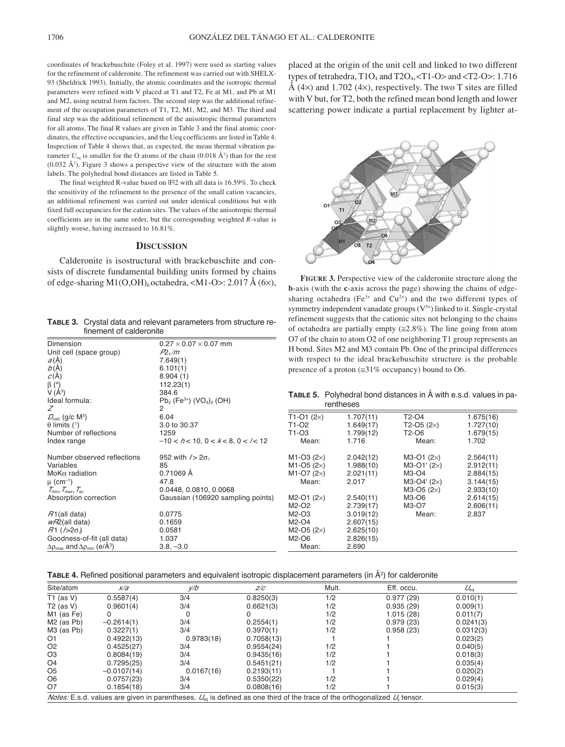coordinates of brackebuschite (Foley et al. 1997) were used as starting values for the refinement of calderonite. The refinement was carried out with SHELX-93 (Sheldrick 1993). Initially, the atomic coordinates and the isotropic thermal parameters were refined with V placed at T1 and T2, Fe at M1, and Pb at M1 and M2, using neutral form factors. The second step was the additional refinement of the occupation parameters of T1, T2, M1, M2, and M3. The third and final step was the additional refinement of the anisotropic thermal parameters for all atoms. The final R values are given in Table 3 and the final atomic coordinates, the effective occupancies, and the Ueq coefficients are listed in Table 4. Inspection of Table 4 shows that, as expected, the mean thermal vibration parameter  $U_{eq}$  is smaller for the O atoms of the chain  $(0.018 \text{ Å}^2)$  than for the rest  $(0.032 \text{ Å}^2)$ . Figure 3 shows a perspective view of the structure with the atom labels. The polyhedral bond distances are listed in Table 5.

The final weighted R-value based on  $|F|2$  with all data is 16.59%. To check the sensitivity of the refinement to the presence of the small cation vacancies, an additional refinement was carried out under identical conditions but with fixed full occupancies for the cation sites. The values of the anisotropic thermal coefficients are in the same order, but the corresponding weighted *R*-value is slightly worse, having increased to 16.81%.

### **DISCUSSION**

Calderonite is isostructural with brackebuschite and consists of discrete fundamental building units formed by chains of edge-sharing M1(O,OH)<sub>6</sub> octahedra, <M1-O>: 2.017 Å (6×),

**TABLE 3.** Crystal data and relevant parameters from structure refinement of calderonite

| Dimension                                                                   | $0.27 \times 0.07 \times 0.07$ mm                               |
|-----------------------------------------------------------------------------|-----------------------------------------------------------------|
| Unit cell (space group)                                                     | $P2\sqrt{m}$                                                    |
| $a(\AA)$                                                                    | 7.649(1)                                                        |
| b(A)                                                                        | 6.101(1)                                                        |
| $c(\AA)$                                                                    | 8.904(1)                                                        |
| $\beta$ (°)                                                                 | 112.23(1)                                                       |
| $V(\AA^3)$                                                                  | 384.6                                                           |
| Ideal formula:                                                              | $Pb_2$ (Fe <sup>3+</sup> ) (VO <sub>4</sub> ) <sub>2</sub> (OH) |
| 7                                                                           | 2                                                               |
| $D_{calc}$ (g/c M <sup>3</sup> )                                            | 6.04                                                            |
| $\theta$ limits (°)                                                         | 3.0 to 30.37                                                    |
| Number of reflections                                                       | 1259                                                            |
| Index range                                                                 | $-10 < h < 10$ , $0 < k < 8$ , $0 < k < 12$                     |
| Number observed reflections                                                 | 952 with $/$ 2 $\sigma$                                         |
| Variables                                                                   | 85                                                              |
| $M$ o K $\alpha$ radiation                                                  | 0.71069 Å                                                       |
| $\mu$ (cm <sup>-1</sup> )                                                   | 478                                                             |
| $\mathcal{T}_{\min}, \mathcal{T}_{\max}, \mathcal{T}_{\text{av}}$           | 0.0448, 0.0810, 0.0068                                          |
| Absorption correction                                                       | Gaussian (106920 sampling points)                               |
| $R1$ (all data)                                                             | 0.0775                                                          |
| $wR2$ (all data)                                                            | 0.1659                                                          |
| $R1$ (/>2 $\sigma$ )                                                        | 0.0581                                                          |
| Goodness-of-fit (all data)                                                  | 1.037                                                           |
| $\Delta\rho_{\text{max}}$ and $\Delta\rho_{\text{min}}$ (e/Å <sup>3</sup> ) | $3.8, -3.0$                                                     |
|                                                                             |                                                                 |

placed at the origin of the unit cell and linked to two different types of tetrahedra,  $T1O_4$  and  $T2O_4$ ,  $\langle T1-O \rangle$  and  $\langle T2-O \rangle$ : 1.716 Å (4 $\times$ ) and 1.702 (4 $\times$ ), respectively. The two T sites are filled with V but, for T2, both the refined mean bond length and lower scattering power indicate a partial replacement by lighter at-



**FIGURE 3.** Perspective view of the calderonite structure along the **b**-axis (with the **c**-axis across the page) showing the chains of edgesharing octahedra (Fe<sup>3+</sup> and Cu<sup>2+</sup>) and the two different types of symmetry independent vanadate groups  $(V^{5+})$  linked to it. Single-crystal refinement suggests that the cationic sites not belonging to the chains of octahedra are partially empty  $(\leq 2.8\%)$ . The line going from atom O7 of the chain to atom O2 of one neighboring T1 group represents an H bond. Sites M2 and M3 contain Pb. One of the principal differences with respect to the ideal brackebuschite structure is the probable presence of a proton  $(\equiv 31\% \text{ occupancy})$  bound to O6.

**TABLE 5.** Polyhedral bond distances in Å with e.s.d. values in parentheses

|                                            | טטטטוווי  |                        |           |  |
|--------------------------------------------|-----------|------------------------|-----------|--|
| $T1-O1 (2\times)$                          | 1.707(11) | T2-O4                  | 1.675(16) |  |
| T <sub>1</sub> -02                         | 1.649(17) | $T2-O5(2x)$            | 1.727(10) |  |
| T <sub>1</sub> -03                         | 1.799(12) | T <sub>2</sub> -06     | 1.679(15) |  |
| Mean:                                      | 1.716     | Mean:                  | 1.702     |  |
| M <sub>1</sub> -O <sub>3</sub> $(2\times)$ | 2.042(12) | $M3-O1$ (2 $\times$ )  | 2.564(11) |  |
| M <sub>1</sub> -O <sub>5</sub> $(2\times)$ | 1.988(10) | $M3-O1' (2\times)$     | 2.912(11) |  |
| M <sub>1</sub> -O <sub>7</sub> $(2\times)$ | 2.021(11) | $M3-O4$                | 2.884(15) |  |
| Mean:                                      | 2.017     | $M3-O4'$ (2 $\times$ ) | 3.144(15) |  |
|                                            |           | $M3-O5 (2\times)$      | 2.933(10) |  |
| $M2-O1 (2\times)$                          | 2.540(11) | M3-O6                  | 2.614(15) |  |
| $M2-O2$                                    | 2.739(17) | M3-O7                  | 2.606(11) |  |
| $M2-O3$                                    | 3.019(12) | Mean:                  | 2.837     |  |
| $M2-O4$                                    | 2.607(15) |                        |           |  |
| $M2-O5 (2×)$                               | 2.625(10) |                        |           |  |
| $M2-O6$                                    | 2.826(15) |                        |           |  |
| Mean:                                      | 2.690     |                        |           |  |

TABLE 4. Refined positional parameters and equivalent isotropic displacement parameters (in Å<sup>2</sup>) for calderonite

| Site/atom                                                                                                                               | x/a           | v/b        | z/c        | Mult. | Eff. occu. | $U_{\scriptscriptstyle{\text{eq}}}$ |  |
|-----------------------------------------------------------------------------------------------------------------------------------------|---------------|------------|------------|-------|------------|-------------------------------------|--|
| T1 (as V)                                                                                                                               | 0.5587(4)     | 3/4        | 0.8250(3)  | 1/2   | 0.977(29)  | 0.010(1)                            |  |
| $T2$ (as V)                                                                                                                             | 0.9601(4)     | 3/4        | 0.6621(3)  | 1/2   | 0.935(29)  | 0.009(1)                            |  |
| M1 (as Fe)                                                                                                                              | 0             |            |            | 1/2   | 1.015(28)  | 0.011(7)                            |  |
| M <sub>2</sub> (as Pb)                                                                                                                  | $-0.2614(1)$  | 3/4        | 0.2554(1)  | 1/2   | 0.979(23)  | 0.0241(3)                           |  |
| M3 (as Pb)                                                                                                                              | 0.3227(1)     | 3/4        | 0.3970(1)  | 1/2   | 0.958(23)  | 0.0312(3)                           |  |
| Ο1                                                                                                                                      | 0.4922(13)    | 0.9783(18) | 0.7058(13) |       |            | 0.023(2)                            |  |
| O <sub>2</sub>                                                                                                                          | 0.4525(27)    | 3/4        | 0.9554(24) | 1/2   |            | 0.040(5)                            |  |
| O3                                                                                                                                      | 0.8084(19)    | 3/4        | 0.9435(16) | 1/2   |            | 0.018(3)                            |  |
| O <sub>4</sub>                                                                                                                          | 0.7295(25)    | 3/4        | 0.5451(21) | 1/2   |            | 0.035(4)                            |  |
| O5                                                                                                                                      | $-0.0107(14)$ | 0.0167(16) | 0.2193(11) |       |            | 0.020(2)                            |  |
| O6                                                                                                                                      | 0.0757(23)    | 3/4        | 0.5350(22) | 1/2   |            | 0.029(4)                            |  |
| Ο7                                                                                                                                      | 0.1854(18)    | 3/4        | 0.0808(16) | 1/2   |            | 0.015(3)                            |  |
| <i>Notes:</i> E.s.d. values are given in parentheses. $U_{eq}$ is defined as one third of the trace of the orthogonalized $U_i$ tensor. |               |            |            |       |            |                                     |  |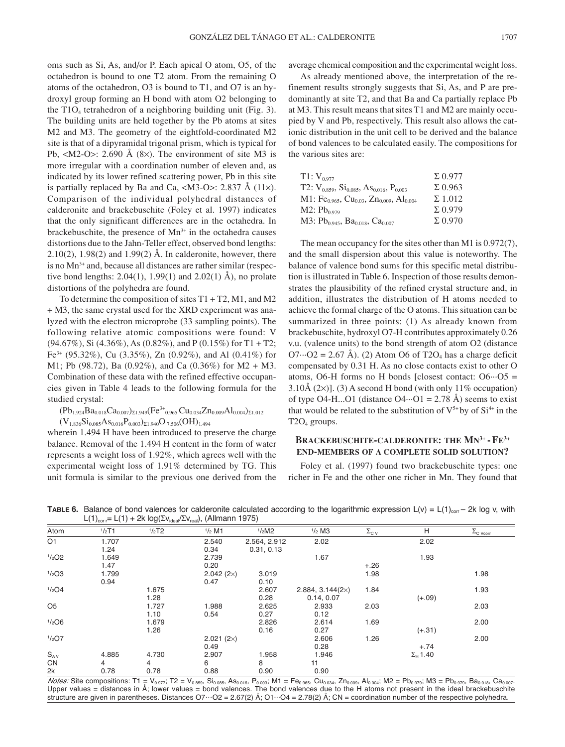oms such as Si, As, and/or P. Each apical O atom, O5, of the octahedron is bound to one T2 atom. From the remaining O atoms of the octahedron, O3 is bound to T1, and O7 is an hydroxyl group forming an H bond with atom O2 belonging to the  $T1O_4$  tetrahedron of a neighboring building unit (Fig. 3). The building units are held together by the Pb atoms at sites M2 and M3. The geometry of the eightfold-coordinated M2 site is that of a dipyramidal trigonal prism, which is typical for Pb,  $|M2-O\rangle$ : 2.690 Å (8 $\times$ ). The environment of site M3 is more irregular with a coordination number of eleven and, as indicated by its lower refined scattering power, Pb in this site is partially replaced by Ba and Ca, <M3-O>: 2.837 Å (11 $\times$ ). Comparison of the individual polyhedral distances of calderonite and brackebuschite (Foley et al. 1997) indicates that the only significant differences are in the octahedra. In brackebuschite, the presence of  $Mn^{3+}$  in the octahedra causes distortions due to the Jahn-Teller effect, observed bond lengths:  $2.10(2)$ ,  $1.98(2)$  and  $1.99(2)$  Å. In calderonite, however, there is no Mn<sup>3+</sup> and, because all distances are rather similar (respective bond lengths:  $2.04(1)$ ,  $1.99(1)$  and  $2.02(1)$  Å), no prolate distortions of the polyhedra are found.

To determine the composition of sites  $T1 + T2$ , M1, and M2 + M3, the same crystal used for the XRD experiment was analyzed with the electron microprobe (33 sampling points). The following relative atomic compositions were found: V (94.67%), Si (4.36%), As (0.82%), and P (0.15%) for T1 + T2; Fe<sup>3+</sup> (95.32%), Cu (3.35%), Zn (0.92%), and Al (0.41%) for M1; Pb (98.72), Ba (0.92%), and Ca (0.36%) for M2 + M3. Combination of these data with the refined effective occupancies given in Table 4 leads to the following formula for the studied crystal:

 $(Pb_{1.924}Ba_{0.018}Ca_{0.007})_{\Sigma1.949}(Fe^{3+}_{0.965}Cu_{0.034}Zn_{0.009}Al_{0.004})_{\Sigma1.012}$  $(V_{1.836}Si_{0.085}As_{0.016}P_{0.003})_{\Sigma1.940}O_{7.506}(OH)_{1.494}$ 

wherein 1.494 H have been introduced to preserve the charge balance. Removal of the 1.494 H content in the form of water represents a weight loss of 1.92%, which agrees well with the experimental weight loss of 1.91% determined by TG. This unit formula is similar to the previous one derived from the average chemical composition and the experimental weight loss.

As already mentioned above, the interpretation of the refinement results strongly suggests that Si, As, and P are predominantly at site T2, and that Ba and Ca partially replace Pb at M3. This result means that sites T1 and M2 are mainly occupied by V and Pb, respectively. This result also allows the cationic distribution in the unit cell to be derived and the balance of bond valences to be calculated easily. The compositions for the various sites are:

| $T1: V_{0.977}$                                                                          | $\Sigma$ 0.977 |
|------------------------------------------------------------------------------------------|----------------|
| T2: $V_{0.859}$ , $Si_{0.085}$ , As <sub>0.016</sub> , P <sub>0.003</sub>                | $\Sigma$ 0.963 |
| M1: Fe <sub>0.965</sub> , Cu <sub>0.03</sub> , Zn <sub>0.009</sub> , Al <sub>0.004</sub> | $\Sigma$ 1.012 |
| $M2: Pb_{0.979}$                                                                         | $\Sigma$ 0.979 |
| M3: $Pb_{0.945}$ , Ba <sub>0.018</sub> , Ca <sub>0.007</sub>                             | $\Sigma$ 0.970 |

The mean occupancy for the sites other than M1 is 0.972(7), and the small dispersion about this value is noteworthy. The balance of valence bond sums for this specific metal distribution is illustrated in Table 6. Inspection of those results demonstrates the plausibility of the refined crystal structure and, in addition, illustrates the distribution of H atoms needed to achieve the formal charge of the O atoms. This situation can be summarized in three points: (1) As already known from brackebuschite, hydroxyl O7-H contributes approximately 0.26 v.u. (valence units) to the bond strength of atom O2 (distance  $O7 \cdots O2 = 2.67$  Å). (2) Atom O6 of T2O<sub>4</sub> has a charge deficit compensated by 0.31 H. As no close contacts exist to other O atoms, O6-H forms no H bonds [closest contact:  $O6 \cdots O5$  = 3.10Å  $(2\times)$ ]. (3) A second H bond (with only 11% occupation) of type O4-H...O1 (distance O4 $\cdots$ O1 = 2.78 Å) seems to exist that would be related to the substitution of  $V^{5+}$  by of  $Si^{4+}$  in the  $T2O<sub>4</sub>$  groups.

## **BRACKEBUSCHITE-CALDERONITE: THE MN3+ -FE3+ END-MEMBERS OF A COMPLETE SOLID SOLUTION?**

Foley et al. (1997) found two brackebuschite types: one richer in Fe and the other one richer in Mn. They found that

| Atom                 | 1/2T1 | $1/2$ T2 | $1/2$ M1         | $1/2$ M2     | $1/2$ M3                | $\Sigma_{\text{C V}}$ | Н               | $\Sigma_{\text{C }\underline{\text{Vcorr}}}$ |
|----------------------|-------|----------|------------------|--------------|-------------------------|-----------------------|-----------------|----------------------------------------------|
| O <sub>1</sub>       | 1.707 |          | 2.540            | 2.564, 2.912 | 2.02                    |                       | 2.02            |                                              |
|                      |       |          |                  |              |                         |                       |                 |                                              |
|                      | 1.24  |          | 0.34             | 0.31, 0.13   |                         |                       |                 |                                              |
| $1/2$ O <sub>2</sub> | 1.649 |          | 2.739            |              | 1.67                    |                       | 1.93            |                                              |
|                      | 1.47  |          | 0.20             |              |                         | $+.26$                |                 |                                              |
| 1/203                | 1.799 |          | $2.042(2\times)$ | 3.019        |                         | 1.98                  |                 | 1.98                                         |
|                      | 0.94  |          | 0.47             | 0.10         |                         |                       |                 |                                              |
| 1/204                |       | 1.675    |                  | 2.607        | $2.884, 3.144(2\times)$ | 1.84                  |                 | 1.93                                         |
|                      |       | 1.28     |                  | 0.28         | 0.14, 0.07              |                       | $(+.09)$        |                                              |
| O <sub>5</sub>       |       | 1.727    | 1.988            | 2.625        | 2.933                   | 2.03                  |                 | 2.03                                         |
|                      |       | 1.10     | 0.54             | 0.27         | 0.12                    |                       |                 |                                              |
| 1/206                |       | 1.679    |                  | 2.826        | 2.614                   | 1.69                  |                 | 2.00                                         |
|                      |       | 1.26     |                  | 0.16         | 0.27                    |                       | $(+.31)$        |                                              |
| $1/2$ O7             |       |          | $2.021(2\times)$ |              | 2.606                   | 1.26                  |                 | 2.00                                         |
|                      |       |          | 0.49             |              | 0.28                    |                       | $+.74$          |                                              |
| $S_{AV}$             | 4.885 | 4.730    | 2.907            | 1.958        | 1.946                   |                       | $\Sigma_H$ 1.40 |                                              |
| CN                   | 4     | 4        | 6                | 8            | 11                      |                       |                 |                                              |
| 2k                   | 0.78  | 0.78     | 0.88             | 0.90         | 0.90                    |                       |                 |                                              |

**TABLE 6.** Balance of bond valences for calderonite calculated according to the logarithmic expression  $L(v) = L(1)_{corr} - 2k \log v$ , with  $L(4) = L(4) + 2k \log(\sum_{i=1}^{N} x_i)$  (Allmann 1975)  $= L(1) + 2k \log(\Sigma v_{\text{max}}/\Sigma v_{\text{max}})$ , (Allmann 1975)

 $Notes:$  Site compositions: T1 =  $V_{0.977}$ ; T2 =  $V_{0.859}$ , Si<sub>0.085</sub>, As<sub>0.016</sub>, P<sub>0.003</sub>; M1 = Fe<sub>0.965</sub>, Cu<sub>0.034</sub>, Zn<sub>0.003</sub>, Al<sub>0.004</sub>; M2 = Pb<sub>0.979</sub>; M3 = Pb<sub>0.979</sub>, Ba<sub>0.018</sub>, Ca<sub>0.007</sub> Upper values = distances in Å; lower values = bond valences. The bond valences due to the H atoms not present in the ideal brackebuschite structure are given in parentheses. Distances  $O7 \cdots O2 = 2.67(2)$  Å;  $O1 \cdots O4 = 2.78(2)$  Å;  $CN =$  coordination number of the respective polyhedra.